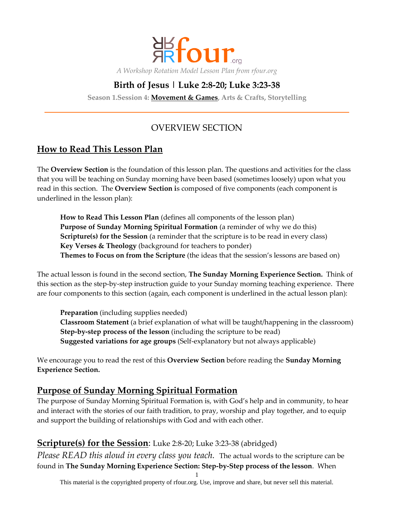

# **Birth of Jesus | Luke 2:8-20; Luke 3:23-38**

**Season 1.Session 4: Movement & Games, Arts & Crafts, Storytelling**

## OVERVIEW SECTION

## **How to Read This Lesson Plan**

The **Overview Section** is the foundation of this lesson plan. The questions and activities for the class that you will be teaching on Sunday morning have been based (sometimes loosely) upon what you read in this section. The **Overview Section i**s composed of five components (each component is underlined in the lesson plan):

**How to Read This Lesson Plan** (defines all components of the lesson plan) **Purpose of Sunday Morning Spiritual Formation** (a reminder of why we do this) **Scripture(s) for the Session** (a reminder that the scripture is to be read in every class) **Key Verses & Theology** (background for teachers to ponder) **Themes to Focus on from the Scripture** (the ideas that the session's lessons are based on)

The actual lesson is found in the second section, **The Sunday Morning Experience Section.** Think of this section as the step-by-step instruction guide to your Sunday morning teaching experience. There are four components to this section (again, each component is underlined in the actual lesson plan):

**Preparation** (including supplies needed) **Classroom Statement** (a brief explanation of what will be taught/happening in the classroom) **Step-by-step process of the lesson** (including the scripture to be read) **Suggested variations for age groups** (Self-explanatory but not always applicable)

We encourage you to read the rest of this **Overview Section** before reading the **Sunday Morning Experience Section.**

### **Purpose of Sunday Morning Spiritual Formation**

The purpose of Sunday Morning Spiritual Formation is, with God's help and in community, to hear and interact with the stories of our faith tradition, to pray, worship and play together, and to equip and support the building of relationships with God and with each other.

### **Scripture(s) for the Session**: Luke 2:8-20; Luke 3:23-38 (abridged)

*Please READ this aloud in every class you teach.* The actual words to the scripture can be found in **The Sunday Morning Experience Section: Step-by-Step process of the lesson**. When

This material is the copyrighted property of rfour.org. Use, improve and share, but never sell this material.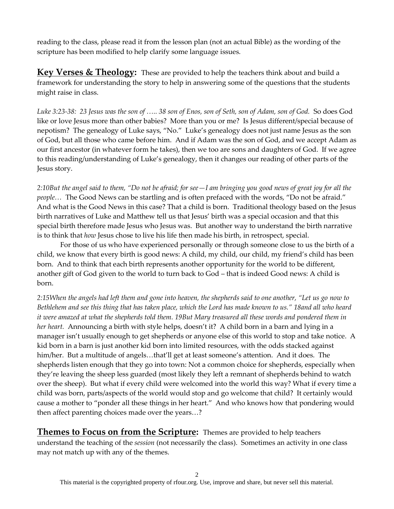reading to the class, please read it from the lesson plan (not an actual Bible) as the wording of the scripture has been modified to help clarify some language issues.

**Key Verses & Theology:** These are provided to help the teachers think about and build a framework for understanding the story to help in answering some of the questions that the students might raise in class.

*Luke 3:23-38: 23 Jesus was the son of <.. 38 son of Enos, son of Seth, son of Adam, son of God.* So does God like or love Jesus more than other babies? More than you or me? Is Jesus different/special because of nepotism? The genealogy of Luke says, "No." Luke's genealogy does not just name Jesus as the son of God, but all those who came before him. And if Adam was the son of God, and we accept Adam as our first ancestor (in whatever form he takes), then we too are sons and daughters of God. If we agree to this reading/understanding of Luke's genealogy, then it changes our reading of other parts of the Jesus story.

*2:10But the angel said to them, "Do not be afraid; for see—I am bringing you good news of great joy for all the people...* The Good News can be startling and is often prefaced with the words, "Do not be afraid." And what is the Good News in this case? That a child is born. Traditional theology based on the Jesus birth narratives of Luke and Matthew tell us that Jesus' birth was a special occasion and that this special birth therefore made Jesus who Jesus was. But another way to understand the birth narrative is to think that *how* Jesus chose to live his life then made his birth, in retrospect, special.

For those of us who have experienced personally or through someone close to us the birth of a child, we know that every birth is good news: A child, my child, our child, my friend's child has been born. And to think that each birth represents another opportunity for the world to be different, another gift of God given to the world to turn back to God – that is indeed Good news: A child is born.

*2:15When the angels had left them and gone into heaven, the shepherds said to one another, "Let us go now to Bethlehem and see this thing that has taken place, which the Lord has made known to us." 18and all who heard it were amazed at what the shepherds told them. 19But Mary treasured all these words and pondered them in her heart.* Announcing a birth with style helps, doesn't it? A child born in a barn and lying in a manager isn't usually enough to get shepherds or anyone else of this world to stop and take notice. A kid born in a barn is just another kid born into limited resources, with the odds stacked against him/her. But a multitude of angels...that'll get at least someone's attention. And it does. The shepherds listen enough that they go into town: Not a common choice for shepherds, especially when they're leaving the sheep less guarded (most likely they left a remnant of shepherds behind to watch over the sheep). But what if every child were welcomed into the world this way? What if every time a child was born, parts/aspects of the world would stop and go welcome that child? It certainly would cause a mother to "ponder all these things in her heart." And who knows how that pondering would then affect parenting choices made over the years...?

**Themes to Focus on from the Scripture:** Themes are provided to help teachers understand the teaching of the *session* (not necessarily the class). Sometimes an activity in one class may not match up with any of the themes.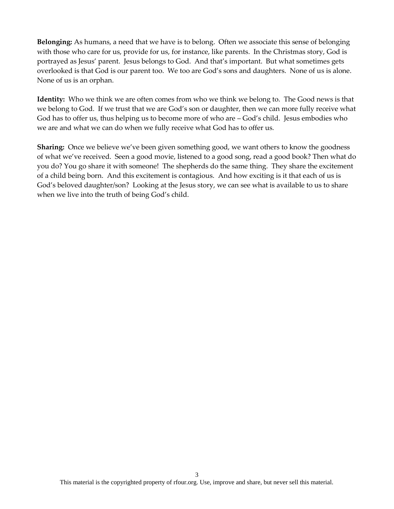**Belonging:** As humans, a need that we have is to belong. Often we associate this sense of belonging with those who care for us, provide for us, for instance, like parents. In the Christmas story, God is portrayed as Jesus' parent. Jesus belongs to God. And that's important. But what sometimes gets overlooked is that God is our parent too. We too are God's sons and daughters. None of us is alone. None of us is an orphan.

**Identity:** Who we think we are often comes from who we think we belong to. The Good news is that we belong to God. If we trust that we are God's son or daughter, then we can more fully receive what God has to offer us, thus helping us to become more of who are – God's child. Jesus embodies who we are and what we can do when we fully receive what God has to offer us.

**Sharing:** Once we believe we've been given something good, we want others to know the goodness of what we've received. Seen a good movie, listened to a good song, read a good book? Then what do you do? You go share it with someone! The shepherds do the same thing. They share the excitement of a child being born. And this excitement is contagious. And how exciting is it that each of us is God's beloved daughter/son? Looking at the Jesus story, we can see what is available to us to share when we live into the truth of being God's child.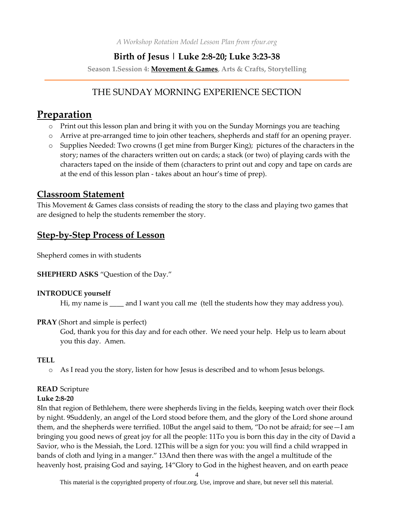*A Workshop Rotation Model Lesson Plan from rfour.org*

### **Birth of Jesus | Luke 2:8-20; Luke 3:23-38**

**Season 1.Session 4: Movement & Games, Arts & Crafts, Storytelling**

## THE SUNDAY MORNING EXPERIENCE SECTION

# **Preparation**

- o Print out this lesson plan and bring it with you on the Sunday Mornings you are teaching
- o Arrive at pre-arranged time to join other teachers, shepherds and staff for an opening prayer.
- o Supplies Needed: Two crowns (I get mine from Burger King); pictures of the characters in the story; names of the characters written out on cards; a stack (or two) of playing cards with the characters taped on the inside of them (characters to print out and copy and tape on cards are at the end of this lesson plan - takes about an hour's time of prep).

### **Classroom Statement**

This Movement & Games class consists of reading the story to the class and playing two games that are designed to help the students remember the story.

## **Step-by-Step Process of Lesson**

Shepherd comes in with students

#### **SHEPHERD ASKS** "Question of the Day."

#### **INTRODUCE yourself**

Hi, my name is \_\_\_\_ and I want you call me (tell the students how they may address you).

#### **PRAY** (Short and simple is perfect)

God, thank you for this day and for each other. We need your help. Help us to learn about you this day. Amen.

#### **TELL**

o As I read you the story, listen for how Jesus is described and to whom Jesus belongs.

#### **READ** Scripture

#### **Luke 2:8-20**

8In that region of Bethlehem, there were shepherds living in the fields, keeping watch over their flock by night. 9Suddenly, an angel of the Lord stood before them, and the glory of the Lord shone around them, and the shepherds were terrified. 10But the angel said to them, "Do not be afraid; for see—I am bringing you good news of great joy for all the people: 11To you is born this day in the city of David a Savior, who is the Messiah, the Lord. 12This will be a sign for you: you will find a child wrapped in bands of cloth and lying in a manger." 13And then there was with the angel a multitude of the heavenly host, praising God and saying, 14"Glory to God in the highest heaven, and on earth peace

4

This material is the copyrighted property of rfour.org. Use, improve and share, but never sell this material.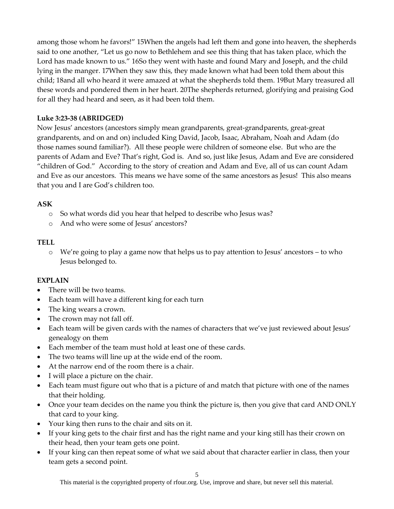among those whom he favors!" 15When the angels had left them and gone into heaven, the shepherds said to one another, "Let us go now to Bethlehem and see this thing that has taken place, which the Lord has made known to us." 16So they went with haste and found Mary and Joseph, and the child lying in the manger. 17When they saw this, they made known what had been told them about this child; 18and all who heard it were amazed at what the shepherds told them. 19But Mary treasured all these words and pondered them in her heart. 20The shepherds returned, glorifying and praising God for all they had heard and seen, as it had been told them.

#### **Luke 3:23-38 (ABRIDGED)**

Now Jesus' ancestors (ancestors simply mean grandparents, great-grandparents, great-great grandparents, and on and on) included King David, Jacob, Isaac, Abraham, Noah and Adam (do those names sound familiar?). All these people were children of someone else. But who are the parents of Adam and Eve? That's right, God is. And so, just like Jesus, Adam and Eve are considered "children of God." According to the story of creation and Adam and Eve, all of us can count Adam and Eve as our ancestors. This means we have some of the same ancestors as Jesus! This also means that you and I are God's children too.

#### **ASK**

- o So what words did you hear that helped to describe who Jesus was?
- o And who were some of Jesus' ancestors?

#### **TELL**

o We're going to play a game now that helps us to pay attention to Jesus' ancestors – to who Jesus belonged to.

#### **EXPLAIN**

- There will be two teams.
- Each team will have a different king for each turn
- The king wears a crown.
- The crown may not fall off.
- Each team will be given cards with the names of characters that we've just reviewed about Jesus' genealogy on them
- Each member of the team must hold at least one of these cards.
- The two teams will line up at the wide end of the room.
- At the narrow end of the room there is a chair.
- I will place a picture on the chair.
- Each team must figure out who that is a picture of and match that picture with one of the names that their holding.
- Once your team decides on the name you think the picture is, then you give that card AND ONLY that card to your king.
- Your king then runs to the chair and sits on it.
- If your king gets to the chair first and has the right name and your king still has their crown on their head, then your team gets one point.
- If your king can then repeat some of what we said about that character earlier in class, then your team gets a second point.